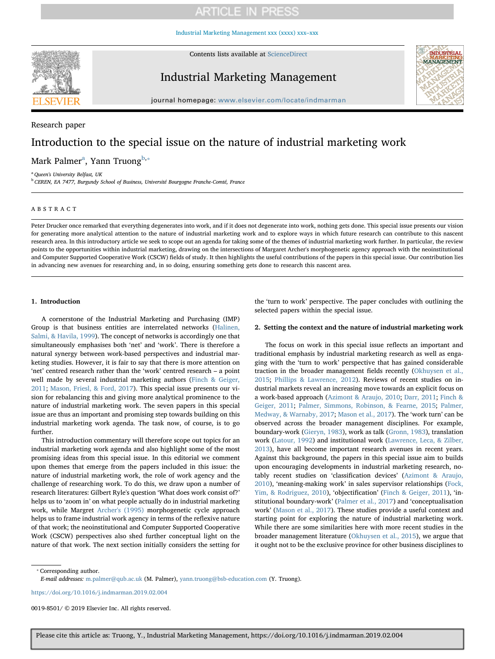# **ARTICLE IN PRESS**

[Industrial Marketing Management xxx \(xxxx\) xxx–xxx](https://doi.org/10.1016/j.indmarman.2019.02.004)



Contents lists available at [ScienceDirect](http://www.sciencedirect.com/science/journal/00198501)

### Industrial Marketing Management



journal homepage: [www.elsevier.com/locate/indmarman](https://www.elsevier.com/locate/indmarman)

# Research paper Introduction to the special issue on the nature of industrial marketing work

Mark Palmer<sup>a</sup>, Yann Truong<sup>[b,](#page-0-1)</sup>\*

<span id="page-0-0"></span><sup>a</sup> Queen's University Belfast, UK

<span id="page-0-1"></span><sup>b</sup> CEREN, EA 7477, Burgundy School of Business, Université Bourgogne Franche-Comté, France

### ABSTRACT

Peter Drucker once remarked that everything degenerates into work, and if it does not degenerate into work, nothing gets done. This special issue presents our vision for generating more analytical attention to the nature of industrial marketing work and to explore ways in which future research can contribute to this nascent research area. In this introductory article we seek to scope out an agenda for taking some of the themes of industrial marketing work further. In particular, the review points to the opportunities within industrial marketing, drawing on the intersections of Margaret Archer's morphogenetic agency approach with the neoinstitutional and Computer Supported Cooperative Work (CSCW) fields of study. It then highlights the useful contributions of the papers in this special issue. Our contribution lies in advancing new avenues for researching and, in so doing, ensuring something gets done to research this nascent area.

### 1. Introduction

A cornerstone of the Industrial Marketing and Purchasing (IMP) Group is that business entities are interrelated networks ([Halinen,](#page-4-0) [Salmi, & Havila, 1999](#page-4-0)). The concept of networks is accordingly one that simultaneously emphasises both 'net' and 'work'. There is therefore a natural synergy between work-based perspectives and industrial marketing studies. However, it is fair to say that there is more attention on 'net' centred research rather than the 'work' centred research – a point well made by several industrial marketing authors ([Finch & Geiger,](#page-3-0) [2011;](#page-3-0) [Mason, Friesl, & Ford, 2017](#page-4-1)). This special issue presents our vision for rebalancing this and giving more analytical prominence to the nature of industrial marketing work. The seven papers in this special issue are thus an important and promising step towards building on this industrial marketing work agenda. The task now, of course, is to go further.

This introduction commentary will therefore scope out topics for an industrial marketing work agenda and also highlight some of the most promising ideas from this special issue. In this editorial we comment upon themes that emerge from the papers included in this issue: the nature of industrial marketing work, the role of work agency and the challenge of researching work. To do this, we draw upon a number of research literatures: Gilbert Ryle's question 'What does work consist of?' helps us to 'zoom in' on what people actually do in industrial marketing work, while Margret [Archer's \(1995\)](#page-3-1) morphogenetic cycle approach helps us to frame industrial work agency in terms of the reflexive nature of that work; the neoinstitutional and Computer Supported Cooperative Work (CSCW) perspectives also shed further conceptual light on the nature of that work. The next section initially considers the setting for

the 'turn to work' perspective. The paper concludes with outlining the selected papers within the special issue.

#### 2. Setting the context and the nature of industrial marketing work

The focus on work in this special issue reflects an important and traditional emphasis by industrial marketing research as well as engaging with the 'turn to work' perspective that has gained considerable traction in the broader management fields recently ([Okhuysen et al.,](#page-4-2) [2015;](#page-4-2) [Phillips & Lawrence, 2012](#page-4-3)). Reviews of recent studies on industrial markets reveal an increasing move towards an explicit focus on a work-based approach ([Azimont & Araujo, 2010;](#page-3-2) [Darr, 2011](#page-3-3); [Finch &](#page-3-0) [Geiger, 2011;](#page-3-0) [Palmer, Simmons, Robinson, & Fearne, 2015;](#page-4-4) [Palmer,](#page-4-5) [Medway, & Warnaby, 2017](#page-4-5); [Mason et al., 2017](#page-4-1)). The 'work turn' can be observed across the broader management disciplines. For example, boundary-work ([Gieryn, 1983](#page-4-6)), work as talk ([Gronn, 1983](#page-4-7)), translation work [\(Latour, 1992](#page-4-8)) and institutional work ([Lawrence, Leca, & Zilber,](#page-4-9) [2013\)](#page-4-9), have all become important research avenues in recent years. Against this background, the papers in this special issue aim to builds upon encouraging developments in industrial marketing research, notably recent studies on 'classification devices' ([Azimont & Araujo,](#page-3-2) [2010\)](#page-3-2), 'meaning-making work' in sales supervisor relationships ([Fock,](#page-4-10) [Yim, & Rodriguez, 2010](#page-4-10)), 'objectification' [\(Finch & Geiger, 2011](#page-3-0)), 'institutional boundary-work' [\(Palmer et al., 2017](#page-4-5)) and 'conceptualisation work' [\(Mason et al., 2017](#page-4-1)). These studies provide a useful context and starting point for exploring the nature of industrial marketing work. While there are some similarities here with more recent studies in the broader management literature ([Okhuysen et al., 2015\)](#page-4-2), we argue that it ought not to be the exclusive province for other business disciplines to

E-mail addresses: [m.palmer@qub.ac.uk](mailto:m.palmer@qub.ac.uk) (M. Palmer), [yann.truong@bsb-education.com](mailto:yann.truong@bsb-education.com) (Y. Truong).

<https://doi.org/10.1016/j.indmarman.2019.02.004>

0019-8501/ © 2019 Elsevier Inc. All rights reserved.

<span id="page-0-2"></span><sup>⁎</sup> Corresponding author.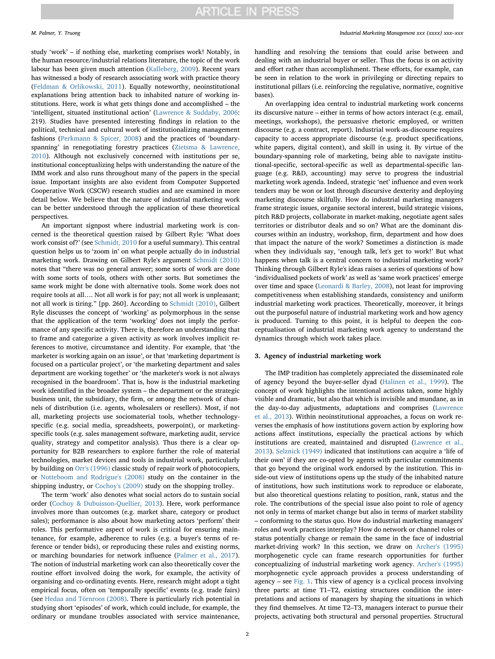study 'work' – if nothing else, marketing comprises work! Notably, in the human resource/industrial relations literature, the topic of the work labour has been given much attention [\(Kalleberg, 2009\)](#page-4-11). Recent years has witnessed a body of research associating work with practice theory ([Feldman & Orlikowski, 2011\)](#page-3-4). Equally noteworthy, neoinstitutional explanations bring attention back to inhabited nature of working institutions. Here, work is what gets things done and accomplished – the 'intelligent, situated institutional action' ([Lawrence & Suddaby, 2006](#page-4-12): 219). Studies have presented interesting findings in relation to the political, technical and cultural work of institutionalizing management fashions [\(Perkmann & Spicer, 2008](#page-4-13)) and the practices of 'boundaryspanning' in renegotiating forestry practices [\(Zietsma & Lawrence,](#page-4-14) [2010\)](#page-4-14). Although not exclusively concerned with institutions per se, institutional conceptualizing helps with understanding the nature of the IMM work and also runs throughout many of the papers in the special issue. Important insights are also evident from Computer Supported Cooperative Work (CSCW) research studies and are examined in more detail below. We believe that the nature of industrial marketing work can be better understood through the application of these theoretical perspectives.

An important signpost where industrial marketing work is concerned is the theoretical question raised by Gilbert Ryle: 'What does work consist of?' (see [Schmidt, 2010](#page-4-15) for a useful summary). This central question helps us to 'zoom in' on what people actually do in industrial marketing work. Drawing on Gilbert Ryle's argument [Schmidt \(2010\)](#page-4-15) notes that "there was no general answer; some sorts of work are done with some sorts of tools, others with other sorts. But sometimes the same work might be done with alternative tools. Some work does not require tools at all…. Not all work is for pay; not all work is unpleasant; not all work is tiring." [pp. 260]. According to [Schmidt \(2010\),](#page-4-15) Gilbert Ryle discusses the concept of 'working' as polymorphous in the sense that the application of the term 'working' does not imply the performance of any specific activity. There is, therefore an understanding that to frame and categorize a given activity as work involves implicit references to motive, circumstance and identity. For example, that 'the marketer is working again on an issue', or that 'marketing department is focused on a particular project', or 'the marketing department and sales department are working together' or 'the marketer's work is not always recognised in the boardroom'. That is, how is the industrial marketing work identified in the broader system – the department or the strategic business unit, the subsidiary, the firm, or among the network of channels of distribution (i.e. agents, wholesalers or resellers). Most, if not all, marketing projects use sociomaterial tools, whether technologyspecific (e.g. social media, spreadsheets, powerpoint), or marketingspecific tools (e.g. sales management software, marketing audit, service quality, strategy and competitor analysis). Thus there is a clear opportunity for B2B researchers to explore further the role of material technologies, market devices and tools in industrial work, particularly by building on [Orr's \(1996\)](#page-4-16) classic study of repair work of photocopiers, or [Notteboom and Rodrigue's \(2008\)](#page-4-17) study on the container in the shipping industry, or [Cochoy's \(2009\)](#page-3-5) study on the shopping trolley.

The term 'work' also denotes what social actors do to sustain social order ([Cochoy & Dubuisson-Quellier, 2013](#page-3-6)). Here, work performance involves more than outcomes (e.g. market share, category or product sales); performance is also about how marketing actors 'perform' their roles. This performative aspect of work is critical for ensuring maintenance, for example, adherence to rules (e.g. a buyer's terms of reference or tender bids), or reproducing these rules and existing norms, or marching boundaries for network influence ([Palmer et al., 2017](#page-4-5)). The notion of industrial marketing work can also theoretically cover the routine effort involved doing the work, for example, the activity of organising and co-ordinating events. Here, research might adopt a tight empirical focus, often on 'temporally specific' events (e.g. trade fairs) (see [Hedaa and Törnroos \(2008\).](#page-4-18) There is particularly rich potential in studying short 'episodes' of work, which could include, for example, the ordinary or mundane troubles associated with service maintenance,

#### M. Palmer, Y. Truong *Industrial Marketing Management xxx (xxxx) xxx–xxx*

handling and resolving the tensions that could arise between and dealing with an industrial buyer or seller. Thus the focus is on activity and effort rather than accomplishment. These efforts, for example, can be seen in relation to the work in privileging or directing repairs to institutional pillars (i.e. reinforcing the regulative, normative, cognitive bases).

An overlapping idea central to industrial marketing work concerns its discursive nature – either in terms of how actors interact (e.g. email, meetings, workshops), the persuasive rhetoric employed, or written discourse (e.g. a contract, report). Industrial work-as-discourse requires capacity to access appropriate discourse (e.g. product specifications, white papers, digital content), and skill in using it. By virtue of the boundary-spanning role of marketing, being able to navigate institutional-specific, sectoral-specific as well as departmental-specific language (e.g. R&D, accounting) may serve to progress the industrial marketing work agenda. Indeed, strategic 'net' influence and even work tenders may be won or lost through discursive dexterity and deploying marketing discourse skilfully. How do industrial marketing managers frame strategic issues, organise sectoral interest, build strategic visions, pitch R&D projects, collaborate in market-making, negotiate agent sales territories or distributor deals and so on? What are the dominant discourses within an industry, workshop, firm, department and how does that impact the nature of the work? Sometimes a distinction is made when they individuals say, 'enough talk, let's get to work!' But what happens when talk is a central concern to industrial marketing work? Thinking through Gilbert Ryle's ideas raises a series of questions of how 'individualised pockets of work' as well as 'same work practices' emerge over time and space ([Leonardi & Barley, 2008\)](#page-4-19), not least for improving competitiveness when establishing standards, consistency and uniform industrial marketing work practices. Theoretically, moreover, it brings out the purposeful nature of industrial marketing work and how agency is produced. Turning to this point, it is helpful to deepen the conceptualisation of industrial marketing work agency to understand the dynamics through which work takes place.

#### 3. Agency of industrial marketing work

The IMP tradition has completely appreciated the disseminated role of agency beyond the buyer-seller dyad [\(Halinen et al., 1999](#page-4-0)). The concept of work highlights the intentional actions taken, some highly visible and dramatic, but also that which is invisible and mundane, as in the day-to-day adjustments, adaptations and comprises ([Lawrence](#page-4-9) [et al., 2013](#page-4-9)). Within neoinstitutional approaches, a focus on work reverses the emphasis of how institutions govern action by exploring how actions affect institutions, especially the practical actions by which institutions are created, maintained and disrupted ([Lawrence et al.,](#page-4-9) [2013\)](#page-4-9). [Selznick \(1949\)](#page-4-20) indicated that institutions can acquire a 'life of their own' if they are co-opted by agents with particular commitments that go beyond the original work endorsed by the institution. This inside-out view of institutions opens up the study of the inhabited nature of institutions, how such institutions work to reproduce or elaborate, but also theoretical questions relating to position, rank, status and the role. The contributions of the special issue also point to role of agency not only in terms of market change but also in terms of market stability – conforming to the status quo. How do industrial marketing managers' roles and work practices interplay? How do network or channel roles or status potentially change or remain the same in the face of industrial market-driving work? In this section, we draw on [Archer's \(1995\)](#page-3-1) morphogenetic cycle can frame research opportunities for further conceptualizing of industrial marketing work agency. [Archer's \(1995\)](#page-3-1) morphogenetic cycle approach provides a process understanding of agency – see [Fig. 1](#page-2-0). This view of agency is a cyclical process involving three parts: at time T1–T2, existing structures condition the interpretations and actions of managers by shaping the situations in which they find themselves. At time T2–T3, managers interact to pursue their projects, activating both structural and personal properties. Structural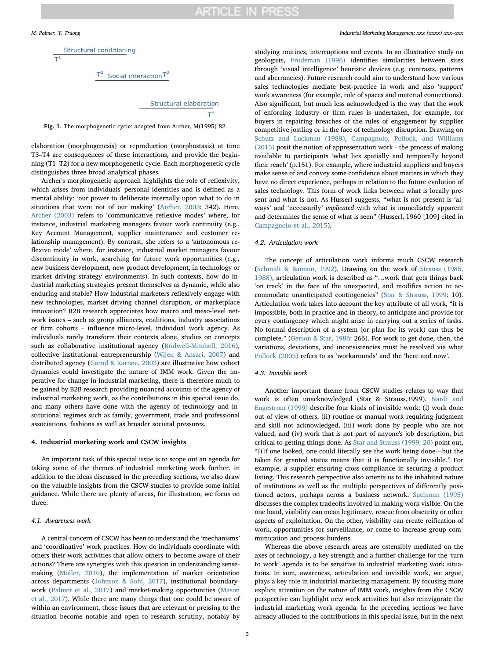<span id="page-2-0"></span>

Fig. 1. The morphogenetic cycle: adapted from Archer, M(1995) 82.

elaboration (morphogenesis) or reproduction (morphostasis) at time T3–T4 are consequences of these interactions, and provide the beginning (T1–T2) for a new morphogenetic cycle. Each morphogenetic cycle distinguishes three broad analytical phases.

Archer's morphogenetic approach highlights the role of reflexivity, which arises from individuals' personal identities and is defined as a mental ability: 'our power to deliberate internally upon what to do in situations that were not of our making' ([Archer, 2003:](#page-3-7) 342). Here, [Archer \(2003\)](#page-3-7) refers to 'communicative reflexive modes' where, for instance, industrial marketing managers favour work continuity (e.g., Key Account Management, supplier maintenance and customer relationship management). By contrast, she refers to a 'autonomous reflexive mode' where, for instance, industrial market managers favour discontinuity in work, searching for future work opportunities (e.g., new business development, new product development, in technology or market driving strategy environments). In such contexts, how do industrial marketing strategies present themselves as dynamic, while also enduring and stable? How industrial marketers reflexively engage with new technologies, market driving channel disruption, or marketplace innovation? B2B research appreciates how macro and meso-level network issues – such as group alliances, coalitions, industry associations or firm cohorts – influence micro-level, individual work agency. As individuals rarely transform their contexts alone, studies on concepts such as collaborative institutional agency ([Bridwell-Mitchell, 2016](#page-3-8)), collective institutional entrepreneurship ([Wijen & Ansari, 2007\)](#page-4-21) and distributed agency ([Garud & Karnøe, 2003\)](#page-4-22) are illustrative how cohort dynamics could investigate the nature of IMM work. Given the imperative for change in industrial marketing, there is therefore much to be gained by B2B research providing nuanced accounts of the agency of industrial marketing work, as the contributions in this special issue do, and many others have done with the agency of technology and institutional regimes such as family, government, trade and professional associations, fashions as well as broader societal pressures.

#### 4. Industrial marketing work and CSCW insights

An important task of this special issue is to scope out an agenda for taking some of the themes of industrial marketing work further. In addition to the ideas discussed in the preceding sections, we also draw on the valuable insights from the CSCW studies to provide some initial guidance. While there are plenty of areas, for illustration, we focus on three.

### 4.1. Awareness work

A central concern of CSCW has been to understand the 'mechanisms' and 'coordinative' work practices. How do individuals coordinate with others their work activities that allow others to become aware of their actions? There are synergies with this question in understanding sensemaking ([Möller, 2010](#page-4-23)), the implementation of market orientation across departments ([Johnson & Sohi, 2017](#page-4-24)), institutional boundarywork ([Palmer et al., 2017](#page-4-5)) and market-making opportunities ([Mason](#page-4-1) et [al., 2017\)](#page-4-1). While there are many things that one could be aware of within an environment, those issues that are relevant or pressing to the situation become notable and open to research scrutiny, notably by

studying routines, interruptions and events. In an illustrative study on geologists, [Frodeman \(1996\)](#page-4-25) identifies similarities between sites through 'visual intelligence' heuristic devices (e.g. contrasts, patterns and aberrancies). Future research could aim to understand how various sales technologies mediate best-practice in work and also 'support' work awareness (for example, role of spaces and material connections). Also significant, but much less acknowledged is the way that the work of enforcing industry or firm rules is undertaken, for example, for buyers in repairing breaches of the rules of engagement by supplier competitive jostling or in the face of technology disruption. Drawing on [Schutz and Luckman \(1989\)](#page-4-26), [Campagnolo, Pollock, and Williams](#page-3-9) [\(2015\)](#page-3-9) posit the notion of appresentation work - the process of making available to participants 'what lies spatially and temporally beyond their reach' (p.151). For example, where industrial suppliers and buyers make sense of and convey some confidence about matters in which they have no direct experience, perhaps in relation to the future evolution of sales technology. This form of work links between what is locally present and what is not. As Husserl suggests, "what is not present is 'always' and 'necessarily' implicated with what is immediately apparent and determines the sense of what is seen" (Husserl, 1960 [109] cited in [Campagnolo et al., 2015](#page-3-9)).

#### 4.2. Articulation work

The concept of articulation work informs much CSCW research ([Schmidt & Bannon, 1992](#page-4-27)). Drawing on the work of [Strauss \(1985,](#page-4-28) [1988\),](#page-4-28) articulation work is described as "…work that gets things back 'on track' in the face of the unexpected, and modifies action to accommodate unanticipated contingencies" ([Star & Strauss, 1999:](#page-4-29) 10). Articulation work takes into account the key attribute of all work, "it is impossible, both in practice and in theory, to anticipate and provide for every contingency which might arise in carrying out a series of tasks. No formal description of a system (or plan for its work) can thus be complete." [\(Gerson & Star, 1986:](#page-4-30) 266). For work to get done, then, the variations, deviations, and inconsistencies must be resolved via what [Pollock \(2005\)](#page-4-31) refers to as 'workarounds' and the 'here and now'.

#### 4.3. Invisible work

Another important theme from CSCW studies relates to way that work is often unacknowledged (Star & Strauss,1999). [Nardi and](#page-4-32) [Engestrom \(1999\)](#page-4-32) describe four kinds of invisible work: (i) work done out of view of others, (ii) routine or manual work requiring judgment and skill not acknowledged, (iii) work done by people who are not valued, and (iv) work that is not part of anyone's job description, but critical to getting things done. As [Star and Strauss \(1999: 20\)](#page-4-29) point out, "[i]f one looked, one could literally see the work being done—but the taken for granted status means that it is functionally invisible." For example, a supplier ensuring cross-compliance in securing a product listing. This research perspective also orients us to the inhabited nature of institutions as well as the multiple perspectives of differently positioned actors, perhaps across a business network. [Suchman \(1995\)](#page-4-33) discusses the complex tradeoffs involved in making work visible. On the one hand, visibility can mean legitimacy, rescue from obscurity or other aspects of exploitation. On the other, visibility can create reification of work, opportunities for surveillance, or come to increase group communication and process burdens.

Whereas the above research areas are ostensibly mediated on the axes of technology, a key strength and a further challenge for the 'turn to work' agenda is to be sensitive to industrial marketing work situations. In sum, awareness, articulation and invisible work, we argue, plays a key role in industrial marketing management. By focusing more explicit attention on the nature of IMM work, insights from the CSCW perspective can highlight new work activities but also reinvigorate the industrial marketing work agenda. In the preceding sections we have already alluded to the contributions in this special issue, but in the next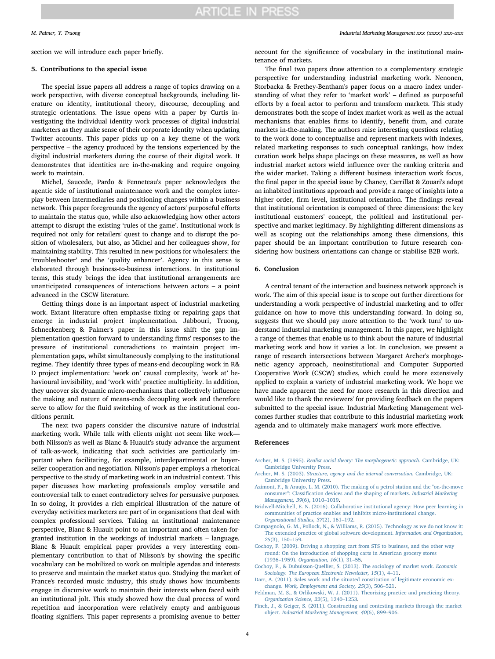## **ARTICLE IN PRESS**

section we will introduce each paper briefly.

#### 5. Contributions to the special issue

The special issue papers all address a range of topics drawing on a work perspective, with diverse conceptual backgrounds, including literature on identity, institutional theory, discourse, decoupling and strategic orientations. The issue opens with a paper by Curtis investigating the individual identity work processes of digital industrial marketers as they make sense of their corporate identity when updating Twitter accounts. This paper picks up on a key theme of the work perspective – the agency produced by the tensions experienced by the digital industrial marketers during the course of their digital work. It demonstrates that identities are in-the-making and require ongoing work to maintain.

Michel, Saucede, Pardo & Fenneteau's paper acknowledges the agentic side of institutional maintenance work and the complex interplay between intermediaries and positioning changes within a business network. This paper foregrounds the agency of actors' purposeful efforts to maintain the status quo, while also acknowledging how other actors attempt to disrupt the existing 'rules of the game'. Institutional work is required not only for retailers' quest to change and to disrupt the position of wholesalers, but also, as Michel and her colleagues show, for maintaining stability. This resulted in new positions for wholesalers: the 'troubleshooter' and the 'quality enhancer'. Agency in this sense is elaborated through business-to-business interactions. In institutional terms, this study brings the idea that institutional arrangements are unanticipated consequences of interactions between actors – a point advanced in the CSCW literature.

Getting things done is an important aspect of industrial marketing work. Extant literature often emphasise fixing or repairing gaps that emerge in industrial project implementation. Jabbouri, Truong, Schneckenberg & Palmer's paper in this issue shift the gap implementation question forward to understanding firms' responses to the pressure of institutional contradictions to maintain project implementation gaps, whilst simultaneously complying to the institutional regime. They identify three types of means-end decoupling work in R& D project implementation: 'work on' causal complexity, 'work at' behavioural invisibility, and 'work with' practice multiplicity. In addition, they uncover six dynamic micro-mechanisms that collectively influence the making and nature of means-ends decoupling work and therefore serve to allow for the fluid switching of work as the institutional conditions permit.

The next two papers consider the discursive nature of industrial marketing work. While talk with clients might not seem like work both Nilsson's as well as Blanc & Huault's study advance the argument of talk-as-work, indicating that such activities are particularly important when facilitating, for example, interdepartmental or buyerseller cooperation and negotiation. Nilsson's paper employs a rhetorical perspective to the study of marketing work in an industrial context. This paper discusses how marketing professionals employ versatile and controversial talk to enact contradictory selves for persuasive purposes. In so doing, it provides a rich empirical illustration of the nature of everyday activities marketers are part of in organisations that deal with complex professional services. Taking an institutional maintenance perspective, Blanc & Huault point to an important and often taken-forgranted institution in the workings of industrial markets – language. Blanc & Huault empirical paper provides a very interesting complementary contribution to that of Nilsson's by showing the specific vocabulary can be mobilized to work on multiple agendas and interests to preserve and maintain the market status quo. Studying the market of France's recorded music industry, this study shows how incumbents engage in discursive work to maintain their interests when faced with an institutional jolt. This study showed how the dual process of word repetition and incorporation were relatively empty and ambiguous floating signifiers. This paper represents a promising avenue to better

account for the significance of vocabulary in the institutional maintenance of markets.

The final two papers draw attention to a complementary strategic perspective for understanding industrial marketing work. Nenonen, Storbacka & Frethey-Bentham's paper focus on a macro index understanding of what they refer to 'market work' – defined as purposeful efforts by a focal actor to perform and transform markets. This study demonstrates both the scope of index market work as well as the actual mechanisms that enables firms to identify, benefit from, and curate markets in-the-making. The authors raise interesting questions relating to the work done to conceptualise and represent markets with indexes, related marketing responses to such conceptual rankings, how index curation work helps shape placings on these measures, as well as how industrial market actors wield influence over the ranking criteria and the wider market. Taking a different business interaction work focus, the final paper in the special issue by Chaney, Carrillat & Zouari's adopt an inhabited institutions approach and provide a range of insights into a higher order, firm level, institutional orientation. The findings reveal that institutional orientation is composed of three dimensions: the key institutional customers' concept, the political and institutional perspective and market legitimacy. By highlighting different dimensions as well as scoping out the relationships among these dimensions, this paper should be an important contribution to future research considering how business orientations can change or stabilise B2B work.

#### 6. Conclusion

A central tenant of the interaction and business network approach is work. The aim of this special issue is to scope out further directions for understanding a work perspective of industrial marketing and to offer guidance on how to move this understanding forward. In doing so, suggests that we should pay more attention to the 'work turn' to understand industrial marketing management. In this paper, we highlight a range of themes that enable us to think about the nature of industrial marketing work and how it varies a lot. In conclusion, we present a range of research intersections between Margaret Archer's morphogenetic agency approach, neoinstitutional and Computer Supported Cooperative Work (CSCW) studies, which could be more extensively applied to explain a variety of industrial marketing work. We hope we have made apparent the need for more research in this direction and would like to thank the reviewers' for providing feedback on the papers submitted to the special issue. Industrial Marketing Management welcomes further studies that contribute to this industrial marketing work agenda and to ultimately make managers' work more effective.

#### References

- <span id="page-3-1"></span>Archer, M. S. (1995). [Realist social theory: The morphogenetic approach.](http://refhub.elsevier.com/S0019-8501(19)30090-2/rf0005) Cambridge, UK: [Cambridge University Press.](http://refhub.elsevier.com/S0019-8501(19)30090-2/rf0005)
- <span id="page-3-7"></span>Archer, M. S. (2003). [Structure, agency and the internal conversation.](http://refhub.elsevier.com/S0019-8501(19)30090-2/rf0010) Cambridge, UK: [Cambridge University Press.](http://refhub.elsevier.com/S0019-8501(19)30090-2/rf0010)
- <span id="page-3-2"></span>[Azimont, F., & Araujo, L. M. \(2010\). The making of a petrol station and the "on-the-move](http://refhub.elsevier.com/S0019-8501(19)30090-2/rf0015) consumer": Classifi[cation devices and the shaping of markets.](http://refhub.elsevier.com/S0019-8501(19)30090-2/rf0015) Industrial Marketing [Management, 39](http://refhub.elsevier.com/S0019-8501(19)30090-2/rf0015)(6), 1010–1019.
- <span id="page-3-8"></span>[Bridwell-Mitchell, E. N. \(2016\). Collaborative institutional agency: How peer learning in](http://refhub.elsevier.com/S0019-8501(19)30090-2/rf0025) [communities of practice enables and inhibits micro-institutional change.](http://refhub.elsevier.com/S0019-8501(19)30090-2/rf0025) [Organzational Studies, 37](http://refhub.elsevier.com/S0019-8501(19)30090-2/rf0025)(2), 161–192.
- <span id="page-3-9"></span>[Campagnolo, G. M., Pollock, N., & Williams, R. \(2015\). Technology as we do not know it:](http://refhub.elsevier.com/S0019-8501(19)30090-2/rf0030) [The extended practice of global software development.](http://refhub.elsevier.com/S0019-8501(19)30090-2/rf0030) Information and Organization, 25[\(3\), 150](http://refhub.elsevier.com/S0019-8501(19)30090-2/rf0030)–159.
- <span id="page-3-5"></span>[Cochoy, F. \(2009\). Driving a shopping cart from STS to business, and the other way](http://refhub.elsevier.com/S0019-8501(19)30090-2/rf0035) [round: On the introduction of shopping carts in American grocery stores](http://refhub.elsevier.com/S0019-8501(19)30090-2/rf0035) (1936–1959). [Organization, 16](http://refhub.elsevier.com/S0019-8501(19)30090-2/rf0035)(1), 31–55.
- <span id="page-3-6"></span>[Cochoy, F., & Dubuisson-Quellier, S. \(2013\). The sociology of market work.](http://refhub.elsevier.com/S0019-8501(19)30090-2/rf0040) Economic [Sociology. The European Electronic Newsletter, 15](http://refhub.elsevier.com/S0019-8501(19)30090-2/rf0040)(1), 4–11.
- <span id="page-3-3"></span>[Darr, A. \(2011\). Sales work and the situated constitution of legitimate economic ex](http://refhub.elsevier.com/S0019-8501(19)30090-2/rf0045)change. [Work, Employment and Society, 25](http://refhub.elsevier.com/S0019-8501(19)30090-2/rf0045)(3), 506–521.
- <span id="page-3-4"></span>[Feldman, M. S., & Orlikowski, W. J. \(2011\). Theorizing practice and practicing theory.](http://refhub.elsevier.com/S0019-8501(19)30090-2/rf0050) [Organization Science, 22](http://refhub.elsevier.com/S0019-8501(19)30090-2/rf0050)(5), 1240–1253.
- <span id="page-3-0"></span>[Finch, J., & Geiger, S. \(2011\). Constructing and contesting markets through the market](http://refhub.elsevier.com/S0019-8501(19)30090-2/rf0055) object. [Industrial Marketing Management, 40](http://refhub.elsevier.com/S0019-8501(19)30090-2/rf0055)(6), 899–906.